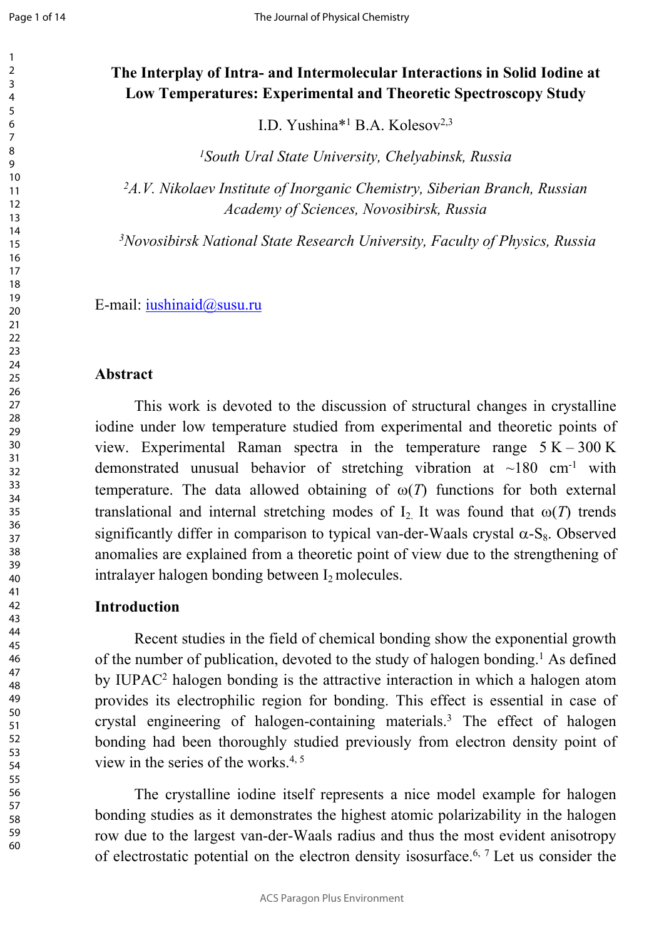# **The Interplay of Intra- and Intermolecular Interactions in Solid Iodine at Low Temperatures: Experimental and Theoretic Spectroscopy Study**

I.D. Yushina\*<sup>1</sup> B.A. Kolesov<sup>2,3</sup>

*South Ural State University, Chelyabinsk, Russia*

*A.V. Nikolaev Institute of Inorganic Chemistry, Siberian Branch, Russian Academy of Sciences, Novosibirsk, Russia*

*Novosibirsk National State Research University, Faculty of Physics, Russia*

E-mail: [iushinaid@susu.ru](mailto:iushinaid@susu.ru)

### **Abstract**

This work is devoted to the discussion of structural changes in crystalline iodine under low temperature studied from experimental and theoretic points of view. Experimental Raman spectra in the temperature range  $5 K - 300 K$ demonstrated unusual behavior of stretching vibration at  $\sim$ 180 cm<sup>-1</sup> with temperature. The data allowed obtaining of  $\omega(T)$  functions for both external translational and internal stretching modes of  $I_2$  It was found that  $\omega(T)$  trends significantly differ in comparison to typical van-der-Waals crystal  $\alpha$ -S<sub>8</sub>. Observed anomalies are explained from a theoretic point of view due to the strengthening of intralayer halogen bonding between  $I_2$  molecules.

### **Introduction**

Recent studies in the field of chemical bonding show the exponential growth of the number of publication, devoted to the study of halogen bonding.<sup>1</sup> As defined by IUPAC<sup>2</sup> halogen bonding is the attractive interaction in which a halogen atom provides its electrophilic region for bonding. This effect is essential in case of crystal engineering of halogen-containing materials.<sup>3</sup> The effect of halogen bonding had been thoroughly studied previously from electron density point of view in the series of the works.<sup>4, 5</sup>

<span id="page-0-0"></span>The crystalline iodine itself represents a nice model example for halogen bonding studies as it demonstrates the highest atomic polarizability in the halogen row due to the largest van-der-Waals radius and thus the most evident anisotropy of electrostatic potential on the electron density isosurface.6, 7 Let us consider the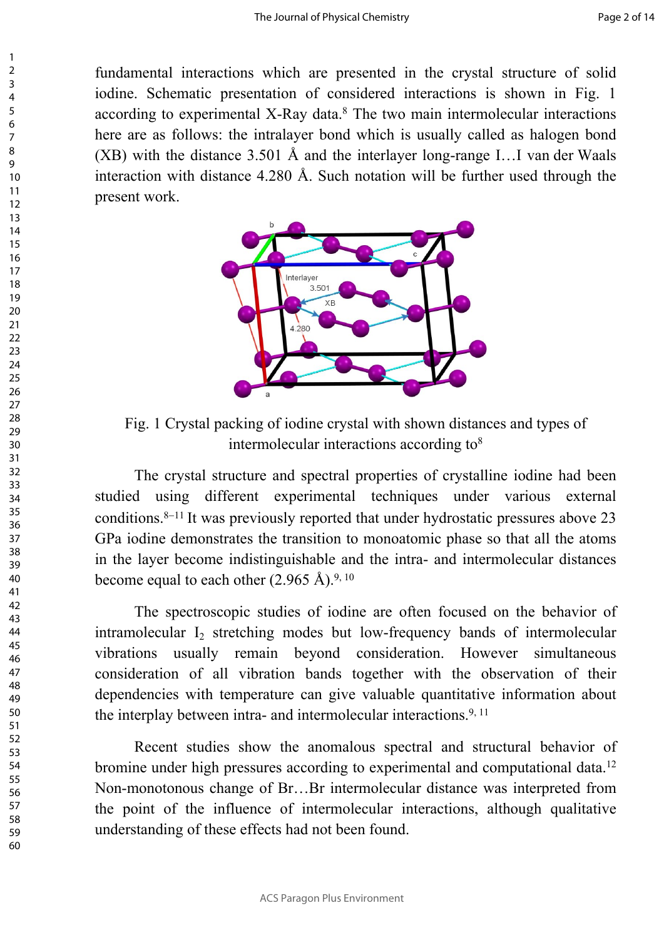fundamental interactions which are presented in the crystal structure of solid iodine. Schematic presentation of considered interactions is shown in Fig. 1 according to experimental X-Ray data.<sup>8</sup> The two main intermolecular interactions here are as follows: the intralayer bond which is usually called as halogen bond (XB) with the distance 3.501 Å and the interlayer long-range I…I van der Waals interaction with distance 4.280 Å. Such notation will be further used through the present work.



Fig. 1 Crystal packing of iodine crystal with shown distances and types of intermolecular interactions according to<sup>8</sup>

The crystal structure and spectral properties of crystalline iodine had been studied using different experimental techniques under various external conditions.<sup>8–11</sup> It was previously reported that under hydrostatic pressures above 23 GPa iodine demonstrates the transition to monoatomic phase so that all the atoms in the layer become indistinguishable and the intra- and intermolecular distances become equal to each other  $(2.965 \text{ Å})^{9,10}$ 

The spectroscopic studies of iodine are often focused on the behavior of intramolecular  $I_2$  stretching modes but low-frequency bands of intermolecular vibrations usually remain beyond consideration. However simultaneous consideration of all vibration bands together with the observation of their dependencies with temperature can give valuable quantitative information about the interplay between intra- and intermolecular interactions.<sup>9, 11</sup>

Recent studies show the anomalous spectral and structural behavior of bromine under high pressures according to experimental and computational data.<sup>12</sup> Non-monotonous change of Br…Br intermolecular distance was interpreted from the point of the influence of intermolecular interactions, although qualitative understanding of these effects had not been found.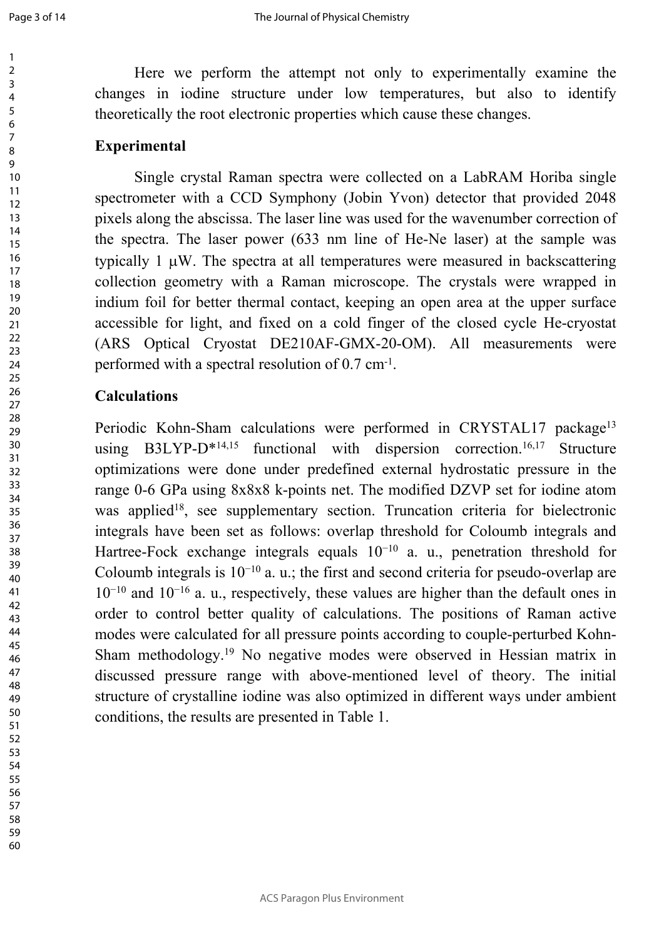Here we perform the attempt not only to experimentally examine the changes in iodine structure under low temperatures, but also to identify theoretically the root electronic properties which cause these changes.

### **Experimental**

Single crystal Raman spectra were collected on a LabRAM Horiba single spectrometer with a CCD Symphony (Jobin Yvon) detector that provided 2048 pixels along the abscissa. The laser line was used for the wavenumber correction of the spectra. The laser power (633 nm line of He-Ne laser) at the sample was typically  $1 \mu W$ . The spectra at all temperatures were measured in backscattering collection geometry with a Raman microscope. The crystals were wrapped in indium foil for better thermal contact, keeping an open area at the upper surface accessible for light, and fixed on a cold finger of the closed cycle He-cryostat (ARS Optical Cryostat DE210AF-GMX-20-OM). All measurements were performed with a spectral resolution of 0.7 cm<sup>-1</sup>.

### **Calculations**

Periodic Kohn-Sham calculations were performed in CRYSTAL17 package<sup>13</sup> using B3LYP- $D^{*14,15}$  functional with dispersion correction.<sup>16,17</sup> Structure optimizations were done under predefined external hydrostatic pressure in the range 0-6 GPa using 8x8x8 k-points net. The modified DZVP set for iodine atom was applied<sup>18</sup>, see supplementary section. Truncation criteria for bielectronic integrals have been set as follows: overlap threshold for Coloumb integrals and Hartree-Fock exchange integrals equals 10−10 a. u., penetration threshold for Coloumb integrals is  $10^{-10}$  a. u.; the first and second criteria for pseudo-overlap are −10 and 10−16 a. u., respectively, these values are higher than the default ones in order to control better quality of calculations. The positions of Raman active modes were calculated for all pressure points according to couple-perturbed Kohn-Sham methodology.<sup>19</sup> No negative modes were observed in Hessian matrix in discussed pressure range with above-mentioned level of theory. The initial structure of crystalline iodine was also optimized in different ways under ambient conditions, the results are presented in Table 1.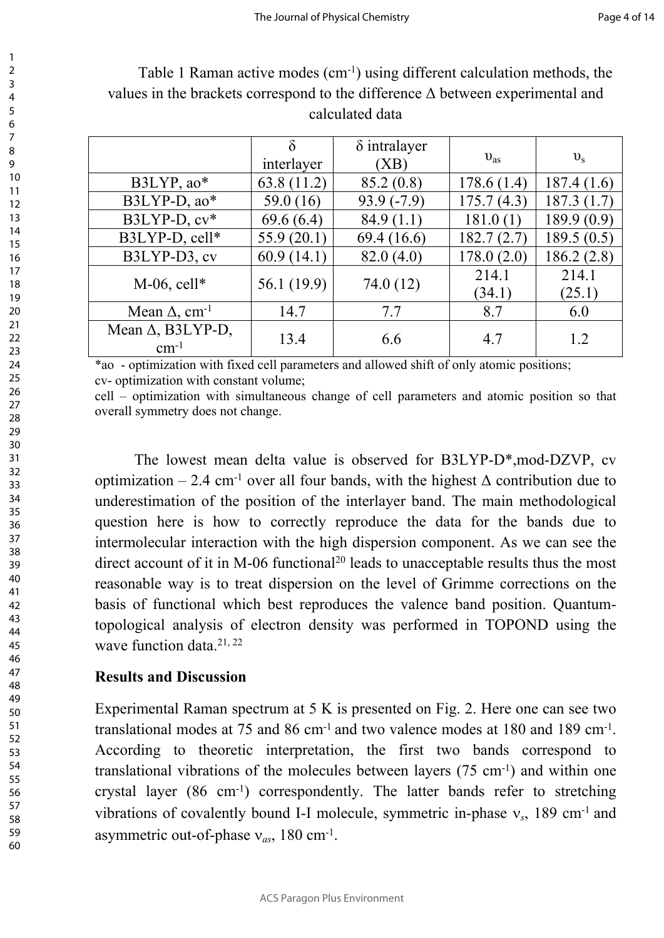| 2                                         |  |
|-------------------------------------------|--|
| 3                                         |  |
|                                           |  |
| 4                                         |  |
| 5                                         |  |
| 6                                         |  |
|                                           |  |
|                                           |  |
| 8                                         |  |
|                                           |  |
| €                                         |  |
| 10                                        |  |
| 1<br>$\mathbf{1}$                         |  |
|                                           |  |
| 1.<br>$\overline{2}$                      |  |
| 13                                        |  |
| 1<br>4                                    |  |
|                                           |  |
| 15                                        |  |
| 16                                        |  |
| 1                                         |  |
|                                           |  |
| 18                                        |  |
| 19                                        |  |
| 20                                        |  |
|                                           |  |
| $\overline{21}$                           |  |
| $\overline{2}$<br>$\overline{ }$          |  |
|                                           |  |
| $\overline{2}$<br>3                       |  |
| $\frac{24}{3}$                            |  |
| 25                                        |  |
|                                           |  |
| 26                                        |  |
| $^{27}$                                   |  |
| 28                                        |  |
|                                           |  |
| 29                                        |  |
| 30                                        |  |
| $\overline{\textbf{3}}$                   |  |
|                                           |  |
| $\overline{\mathbf{3}}$<br>$\overline{2}$ |  |
| $\overline{\mathbf{3}}$<br>ξ              |  |
|                                           |  |
| 34                                        |  |
| 35                                        |  |
| 36                                        |  |
|                                           |  |
| 37                                        |  |
| 38                                        |  |
| $\frac{1}{2}$<br>Ć                        |  |
|                                           |  |
| 40                                        |  |
| 41                                        |  |
| 42                                        |  |
|                                           |  |
| $\ddot{a}$<br>ξ                           |  |
| 44                                        |  |
| 45                                        |  |
|                                           |  |
| 46                                        |  |
| 47                                        |  |
|                                           |  |
| 48                                        |  |
| 49                                        |  |
| 50                                        |  |
|                                           |  |
| 51                                        |  |
| 5.<br>2                                   |  |
| $\overline{5}$<br>ξ                       |  |
|                                           |  |
| 54                                        |  |
| 55                                        |  |
| 56                                        |  |
|                                           |  |
| 57                                        |  |
| 58                                        |  |
|                                           |  |
| 59<br>ر                                   |  |

1

Table 1 Raman active modes (cm-1) using different calculation methods, the values in the brackets correspond to the difference  $\Delta$  between experimental and calculated data

|                                           | $\delta$<br>interlayer | $\delta$ intralayer<br>(XB) | $v_{\rm as}$    | $v_{\rm s}$     |
|-------------------------------------------|------------------------|-----------------------------|-----------------|-----------------|
| B3LYP, $ao*$                              | 63.8(11.2)             | 85.2(0.8)                   | 178.6(1.4)      | 187.4(1.6)      |
| $B3LYP-D$ , ao*                           | 59.0 (16)              | $93.9(-7.9)$                | 175.7(4.3)      | 187.3(1.7)      |
| $B3LYP-D, cv*$                            | 69.6(6.4)              | 84.9(1.1)                   | 181.0(1)        | 189.9(0.9)      |
| B3LYP-D, cell*                            | 55.9(20.1)             | 69.4 (16.6)                 | 182.7(2.7)      | 189.5(0.5)      |
| B3LYP-D3, cv                              | 60.9(14.1)             | 82.0(4.0)                   | 178.0(2.0)      | 186.2(2.8)      |
| $M-06$ , cell*                            | 56.1 (19.9)            | 74.0 (12)                   | 214.1<br>(34.1) | 214.1<br>(25.1) |
| Mean $\Delta$ , cm <sup>-1</sup>          | 14.7                   | 7.7                         | 8.7             | 6.0             |
| Mean $\Delta$ , B3LYP-D,<br>$\rm cm^{-1}$ | 13.4                   | 6.6                         | 4.7             | 1.2             |

\*ao - optimization with fixed cell parameters and allowed shift of only atomic positions; cv- optimization with constant volume;

cell – optimization with simultaneous change of cell parameters and atomic position so that overall symmetry does not change.

The lowest mean delta value is observed for B3LYP-D\*,mod-DZVP, cv optimization – 2.4 cm<sup>-1</sup> over all four bands, with the highest  $\Delta$  contribution due to underestimation of the position of the interlayer band. The main methodological question here is how to correctly reproduce the data for the bands due to intermolecular interaction with the high dispersion component. As we can see the direct account of it in M-06 functional<sup>20</sup> leads to unacceptable results thus the most reasonable way is to treat dispersion on the level of Grimme corrections on the basis of functional which best reproduces the valence band position. Quantumtopological analysis of electron density was performed in TOPOND using the wave function data  $21, 22$ 

## **Results and Discussion**

Experimental Raman spectrum at 5 K is presented on Fig. 2. Here one can see two translational modes at 75 and 86 cm-1 and two valence modes at 180 and 189 cm-1 . According to theoretic interpretation, the first two bands correspond to translational vibrations of the molecules between layers  $(75 \text{ cm}^{-1})$  and within one crystal layer (86 cm-1) correspondently. The latter bands refer to stretching vibrations of covalently bound I-I molecule, symmetric in-phase  $v_s$ , 189 cm<sup>-1</sup> and asymmetric out-of-phase  $v_{as}$ , 180 cm<sup>-1</sup>.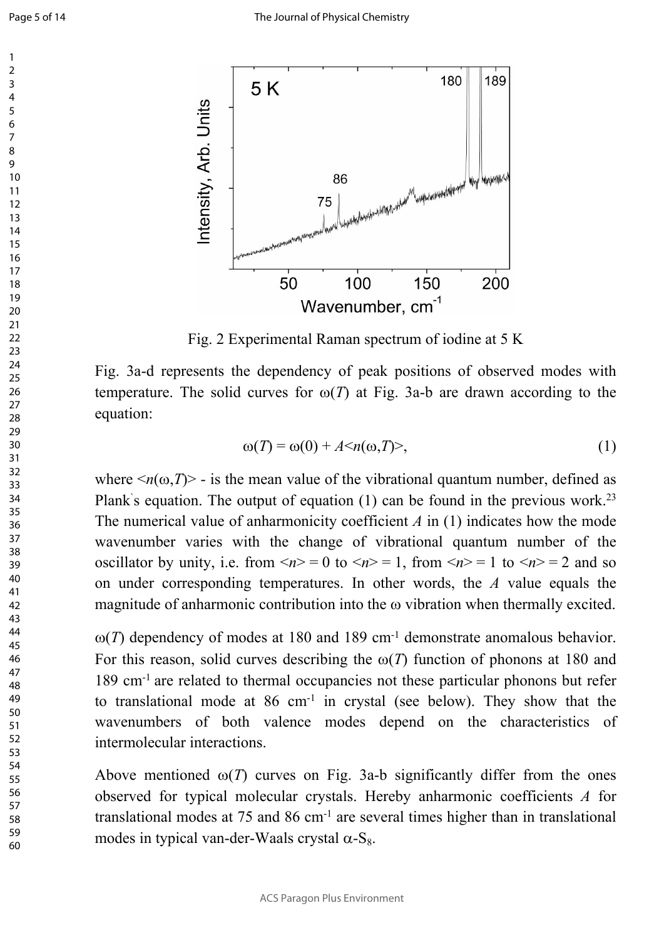

Fig. 2 Experimental Raman spectrum of iodine at 5 K

Fig. 3a-d represents the dependency of peak positions of observed modes with temperature. The solid curves for  $\omega(T)$  at Fig. 3a-b are drawn according to the equation:

$$
\omega(T) = \omega(0) + A \langle n(\omega, T) \rangle, \tag{1}
$$

where  $\langle n(\omega,T)\rangle$  - is the mean value of the vibrational quantum number, defined as Plank's equation. The output of equation (1) can be found in the previous work.<sup>23</sup> The numerical value of anharmonicity coefficient *A* in (1) indicates how the mode wavenumber varies with the change of vibrational quantum number of the oscillator by unity, i.e. from  $\langle n \rangle = 0$  to  $\langle n \rangle = 1$ , from  $\langle n \rangle = 1$  to  $\langle n \rangle = 2$  and so on under corresponding temperatures. In other words, the *А* value equals the magnitude of anharmonic contribution into the  $\omega$  vibration when thermally excited.

 $\omega(T)$  dependency of modes at 180 and 189 cm<sup>-1</sup> demonstrate anomalous behavior. For this reason, solid curves describing the  $\omega(T)$  function of phonons at 180 and 189 cm-1 are related to thermal occupancies not these particular phonons but refer to translational mode at 86 cm-1 in crystal (see below). They show that the wavenumbers of both valence modes depend on the characteristics of intermolecular interactions.

Above mentioned  $\omega(T)$  curves on Fig. 3a-b significantly differ from the ones observed for typical molecular crystals. Hereby anharmonic coefficients *А* for translational modes at 75 and 86 cm-1 are several times higher than in translational modes in typical van-der-Waals crystal  $\alpha$ -S<sub>8</sub>.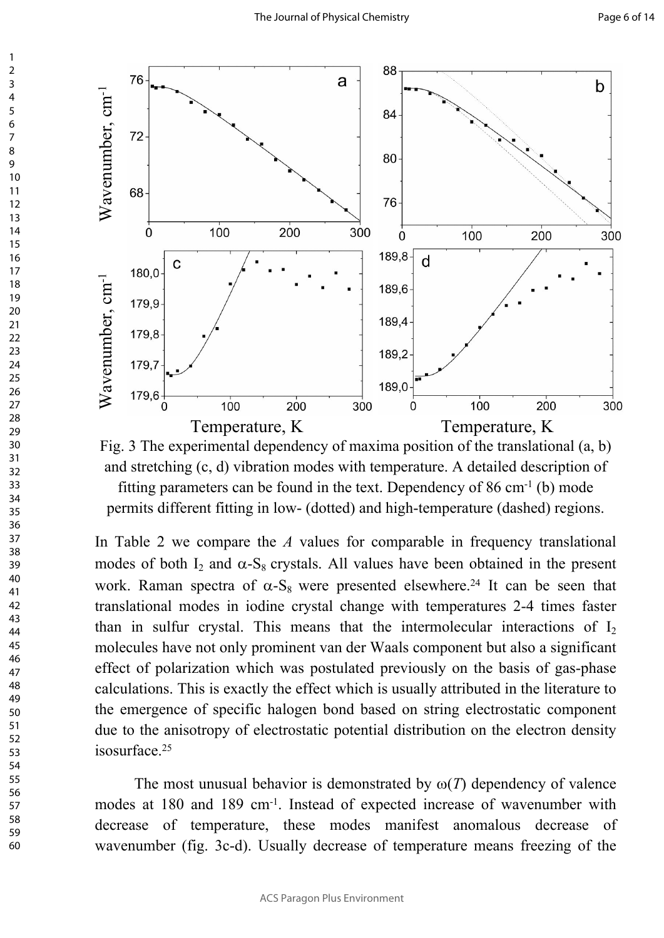

Fig. 3 The experimental dependency of maxima position of the translational (a, b) and stretching (c, d) vibration modes with temperature. A detailed description of fitting parameters can be found in the text. Dependency of  $86 \text{ cm}^{-1}$  (b) mode

permits different fitting in low- (dotted) and high-temperature (dashed) regions.

In Table 2 we compare the *А* values for comparable in frequency translational modes of both  $I_2$  and  $\alpha$ -S<sub>8</sub> crystals. All values have been obtained in the present work. Raman spectra of  $\alpha$ -S<sub>8</sub> were presented elsewhere.<sup>24</sup> It can be seen that translational modes in iodine crystal change with temperatures 2-4 times faster than in sulfur crystal. This means that the intermolecular interactions of  $I_2$ molecules have not only prominent van der Waals component but also a significant effect of polarization which was postulated previously on the basis of gas-phase calculations. This is exactly the effect which is usually attributed in the literature to the emergence of specific halogen bond based on string electrostatic component due to the anisotropy of electrostatic potential distribution on the electron density isosurface.<sup>25</sup>

The most unusual behavior is demonstrated by  $\omega(T)$  dependency of valence modes at 180 and 189 cm<sup>-1</sup>. Instead of expected increase of wavenumber with decrease of temperature, these modes manifest anomalous decrease of wavenumber (fig. 3c-d). Usually decrease of temperature means freezing of the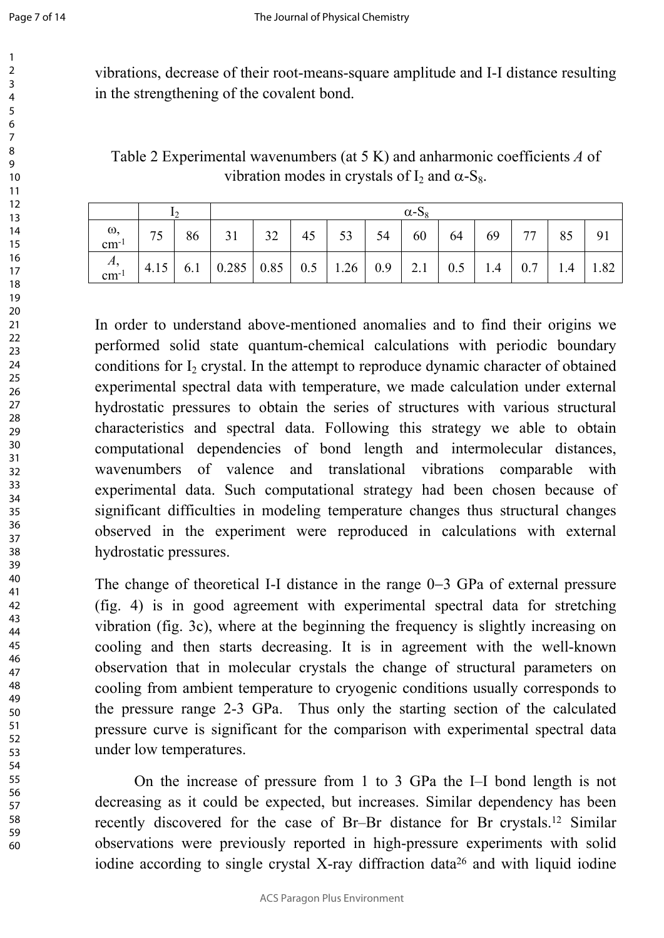vibrations, decrease of their root-means-square amplitude and I-I distance resulting in the strengthening of the covalent bond.

Table 2 Experimental wavenumbers (at 5 K) and anharmonic coefficients *А* of vibration modes in crystals of  $I_2$  and  $\alpha$ -S<sub>8</sub>.

|                              |    |    |                                                                                   | $\alpha$ -S <sub>8</sub> |           |    |    |  |       |      |    |    |    |
|------------------------------|----|----|-----------------------------------------------------------------------------------|--------------------------|-----------|----|----|--|-------|------|----|----|----|
| $\frac{\omega}{\text{cm}^2}$ | 75 | 86 | 31                                                                                | 32                       | $45 \mid$ | 53 | 54 |  | 60 64 | $69$ | 77 | 85 | 91 |
| $\frac{A}{cm^{-1}}$          |    |    | 4.15   6.1   0.285   0.85   0.5   1.26   0.9   2.1   0.5   1.4   0.7   1.4   1.82 |                          |           |    |    |  |       |      |    |    |    |

In order to understand above-mentioned anomalies and to find their origins we performed solid state quantum-chemical calculations with periodic boundary conditions for I<sub>2</sub> crystal. In the attempt to reproduce dynamic character of obtained experimental spectral data with temperature, we made calculation under external hydrostatic pressures to obtain the series of structures with various structural characteristics and spectral data. Following this strategy we able to obtain computational dependencies of bond length and intermolecular distances, wavenumbers of valence and translational vibrations comparable with experimental data. Such computational strategy had been chosen because of significant difficulties in modeling temperature changes thus structural changes observed in the experiment were reproduced in calculations with external hydrostatic pressures.

The change of theoretical I-I distance in the range  $0-3$  GPa of external pressure (fig. 4) is in good agreement with experimental spectral data for stretching vibration (fig. 3c), where at the beginning the frequency is slightly increasing on cooling and then starts decreasing. It is in agreement with the well-known observation that in molecular crystals the change of structural parameters on cooling from ambient temperature to cryogenic conditions usually corresponds to the pressure range 2-3 GPa. Thus only the starting section of the calculated pressure curve is significant for the comparison with experimental spectral data under low temperatures.

On the increase of pressure from 1 to 3 GPa the I–I bond length is not decreasing as it could be expected, but increases. Similar dependency has been recently discovered for the case of Br–Br distance for Br crystals.<sup>12</sup> Similar observations were previously reported in high-pressure experiments with solid iodine according to single crystal X-ray diffraction data<sup>26</sup> and with liquid iodine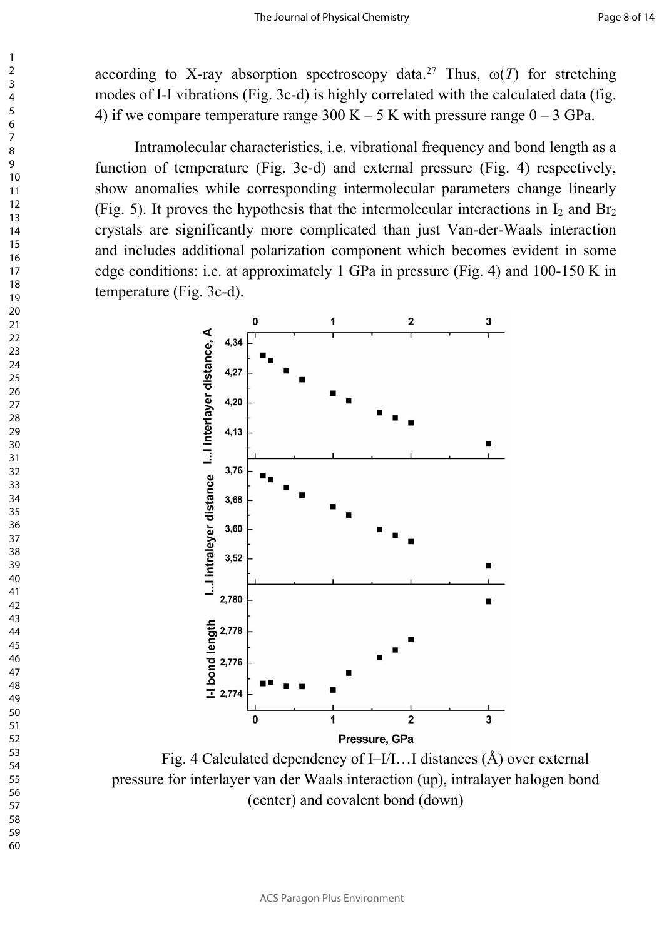according to X-ray absorption spectroscopy data.<sup>27</sup> Thus,  $\omega(T)$  for stretching modes of I-I vibrations (Fig. 3c-d) is highly correlated with the calculated data (fig. 4) if we compare temperature range  $300 K - 5 K$  with pressure range  $0 - 3 GPa$ .

Intramolecular characteristics, i.e. vibrational frequency and bond length as a function of temperature (Fig. 3c-d) and external pressure (Fig. 4) respectively, show anomalies while corresponding intermolecular parameters change linearly (Fig. 5). It proves the hypothesis that the intermolecular interactions in  $I_2$  and  $Br_2$ crystals are significantly more complicated than just Van-der-Waals interaction and includes additional polarization component which becomes evident in some edge conditions: i.e. at approximately 1 GPa in pressure (Fig. 4) and 100-150 K in temperature (Fig. 3c-d).



Fig. 4 Calculated dependency of I–I/I…I distances (Å) over external pressure for interlayer van der Waals interaction (up), intralayer halogen bond (center) and covalent bond (down)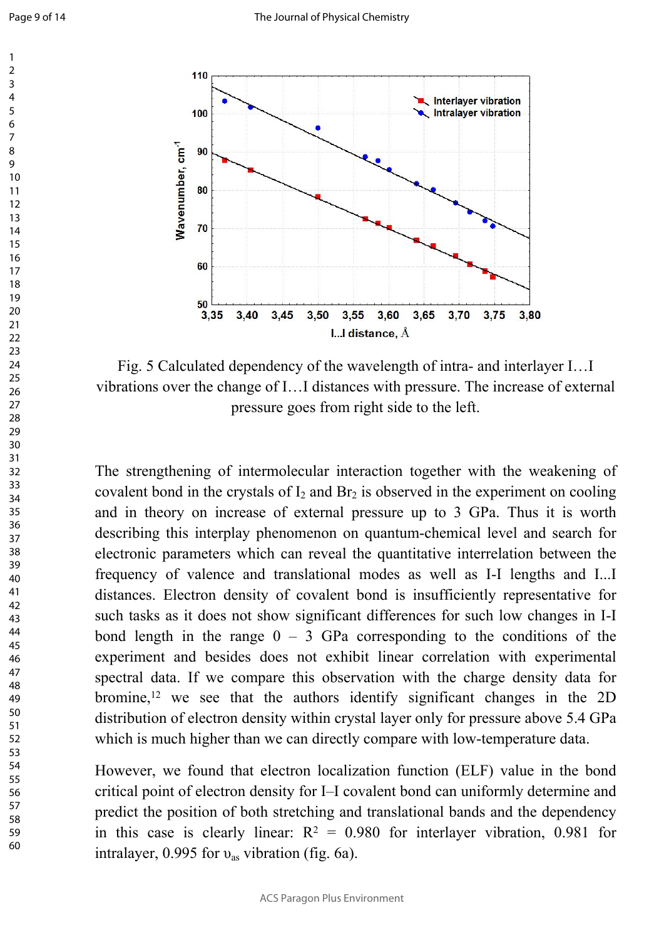

Fig. 5 Calculated dependency of the wavelength of intra- and interlayer I…I vibrations over the change of I…I distances with pressure. The increase of external pressure goes from right side to the left.

The strengthening of intermolecular interaction together with the weakening of covalent bond in the crystals of  $I_2$  and  $Br_2$  is observed in the experiment on cooling and in theory on increase of external pressure up to 3 GPa. Thus it is worth describing this interplay phenomenon on quantum-chemical level and search for electronic parameters which can reveal the quantitative interrelation between the frequency of valence and translational modes as well as I-I lengths and I...I distances. Electron density of covalent bond is insufficiently representative for such tasks as it does not show significant differences for such low changes in I-I bond length in the range  $0 - 3$  GPa corresponding to the conditions of the experiment and besides does not exhibit linear correlation with experimental spectral data. If we compare this observation with the charge density data for bromine,<sup>12</sup> we see that the authors identify significant changes in the 2D distribution of electron density within crystal layer only for pressure above 5.4 GPa which is much higher than we can directly compare with low-temperature data.

However, we found that electron localization function (ELF) value in the bond critical point of electron density for I–I covalent bond can uniformly determine and predict the position of both stretching and translational bands and the dependency in this case is clearly linear:  $R^2 = 0.980$  for interlayer vibration, 0.981 for intralayer,  $0.995$  for  $v_{\text{as}}$  vibration (fig. 6a).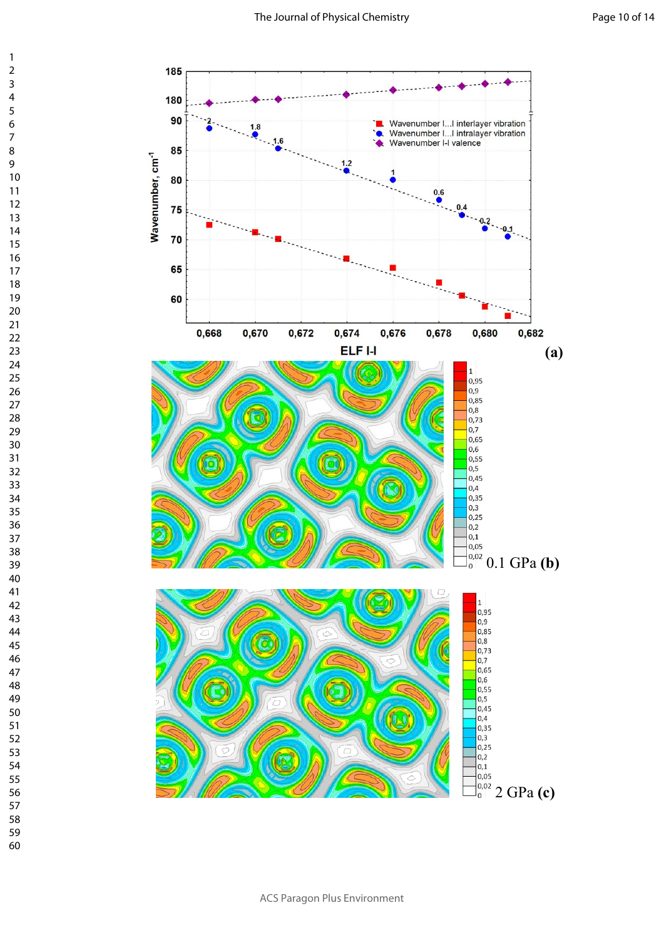

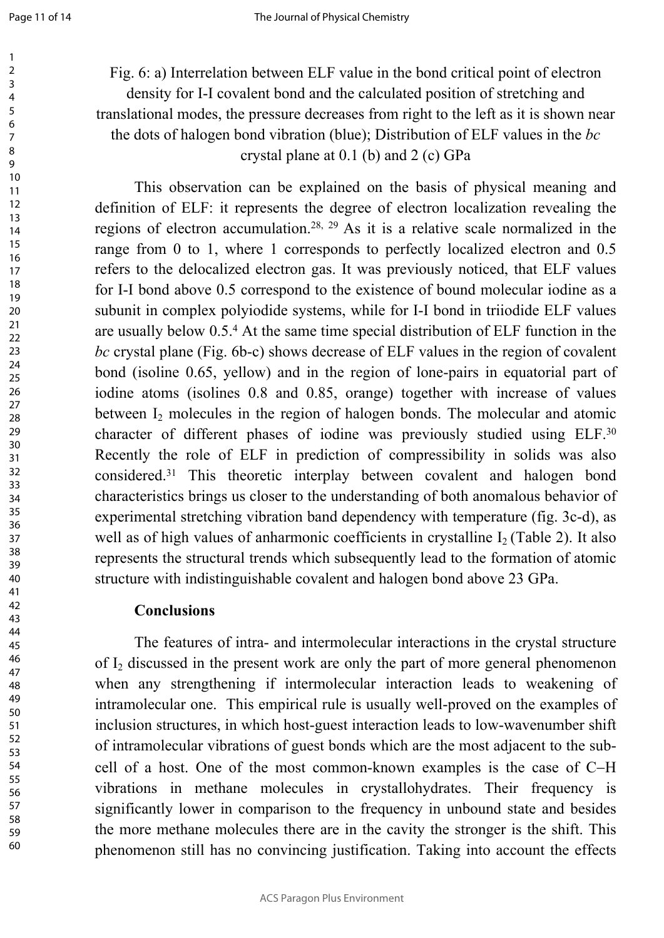Fig. 6: a) Interrelation between ELF value in the bond critical point of electron density for I-I covalent bond and the calculated position of stretching and translational modes, the pressure decreases from right to the left as it is shown near the dots of halogen bond vibration (blue); Distribution of ELF values in the *bc* crystal plane at 0.1 (b) and 2 (c) GPa

This observation can be explained on the basis of physical meaning and definition of ELF: it represents the degree of electron localization revealing the regions of electron accumulation.28, 29 As it is a relative scale normalized in the range from 0 to 1, where 1 corresponds to perfectly localized electron and 0.5 refers to the delocalized electron gas. It was previously noticed, that ELF values for I-I bond above 0.5 correspond to the existence of bound molecular iodine as a subunit in complex polyiodide systems, while for I-I bond in triiodide ELF values are usually below 0.5.[4](#page-0-0) At the same time special distribution of ELF function in the *bc* crystal plane (Fig. 6b-c) shows decrease of ELF values in the region of covalent bond (isoline 0.65, yellow) and in the region of lone-pairs in equatorial part of iodine atoms (isolines 0.8 and 0.85, orange) together with increase of values between I<sub>2</sub> molecules in the region of halogen bonds. The molecular and atomic character of different phases of iodine was previously studied using ELF.<sup>30</sup> Recently the role of ELF in prediction of compressibility in solids was also considered.<sup>31</sup> This theoretic interplay between covalent and halogen bond characteristics brings us closer to the understanding of both anomalous behavior of experimental stretching vibration band dependency with temperature (fig. 3c-d), as well as of high values of anharmonic coefficients in crystalline  $I_2$  (Table 2). It also represents the structural trends which subsequently lead to the formation of atomic structure with indistinguishable covalent and halogen bond above 23 GPa.

### **Conclusions**

The features of intra- and intermolecular interactions in the crystal structure of  $I_2$  discussed in the present work are only the part of more general phenomenon when any strengthening if intermolecular interaction leads to weakening of intramolecular one. This empirical rule is usually well-proved on the examples of inclusion structures, in which host-guest interaction leads to low-wavenumber shift of intramolecular vibrations of guest bonds which are the most adjacent to the subcell of a host. One of the most common-known examples is the case of C-H vibrations in methane molecules in crystallohydrates. Their frequency is significantly lower in comparison to the frequency in unbound state and besides the more methane molecules there are in the cavity the stronger is the shift. This phenomenon still has no convincing justification. Taking into account the effects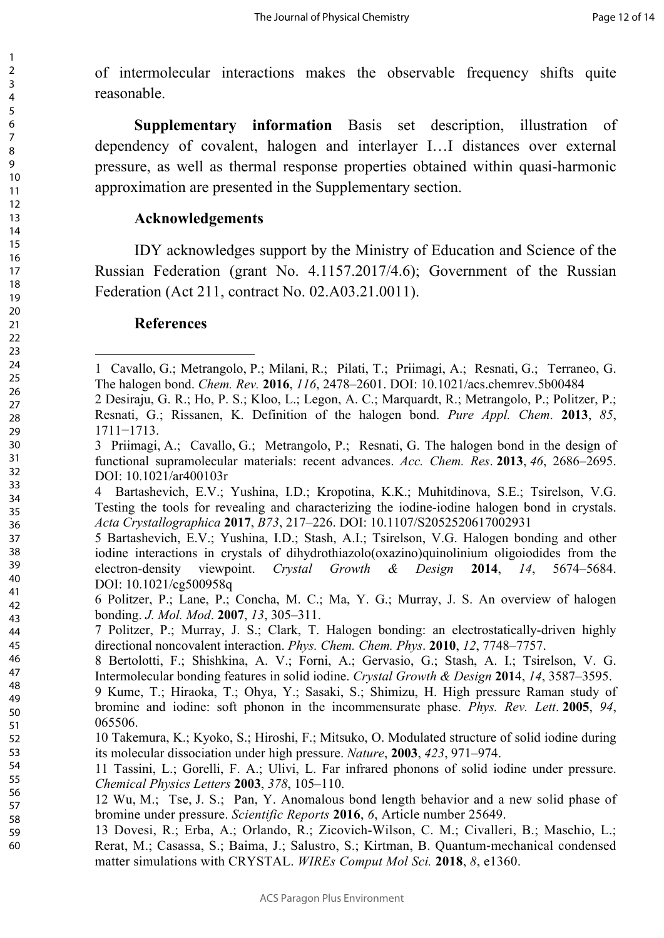of intermolecular interactions makes the observable frequency shifts quite reasonable.

**Supplementary information** Basis set description, illustration of dependency of covalent, halogen and interlayer I…I distances over external pressure, as well as thermal response properties obtained within quasi-harmonic approximation are presented in the Supplementary section.

#### **Acknowledgements**

IDY acknowledges support by the Ministry of Education and Science of the Russian Federation (grant No. 4.1157.2017/4.6); Government of the Russian Federation (Act 211, contract No. 02.A03.21.0011).

#### **References**

<sup>1</sup> [Cavallo,](https://pubs.acs.org/author/Cavallo%2C+Gabriella) G.; [Metrangolo](https://pubs.acs.org/author/Metrangolo%2C+Pierangelo), P.; [Milani](https://pubs.acs.org/author/Milani%2C+Roberto), R.; [Pilati,](https://pubs.acs.org/author/Pilati%2C+Tullio) T.; [Priimagi,](https://pubs.acs.org/author/Priimagi%2C+Arri) A.; [Resnati,](https://pubs.acs.org/author/Resnati%2C+Giuseppe) G.; [Terraneo](https://pubs.acs.org/author/Terraneo%2C+Giancarlo), G. The halogen bond. *Chem. Rev.* **2016**, *116*, 2478–2601. DOI: 10.1021/acs.chemrev.5b00484

<sup>2</sup> Desiraju, G. R.; Ho, P. S.; Kloo, L.; Legon, A. C.; Marquardt, R.; Metrangolo, P.; Politzer, P.; Resnati, G.; Rissanen, K. Definition of the halogen bond. *Pure Appl. Chem*. **2013**, *85*, 1711−1713.

<sup>3</sup> [Priimagi](https://pubs.acs.org/author/Priimagi%2C+Arri), A.; [Cavallo](https://pubs.acs.org/author/Cavallo%2C+Gabriella), G.; [Metrangolo,](https://pubs.acs.org/author/Metrangolo%2C+Pierangelo) P.; [Resnati](https://pubs.acs.org/author/Resnati%2C+Giuseppe), G. The halogen bond in the design of functional supramolecular materials: recent advances. *Acc. Chem. Res*. **2013**, *46*, 2686–2695. DOI: 10.1021/ar400103r

<sup>4</sup> Bartashevich, E.V.; Yushina, I.D.; Kropotina, K.K.; Muhitdinova, S.E.; Tsirelson, V.G. Testing the tools for revealing and characterizing the iodine-iodine halogen bond in crystals. *Acta Crystallographica* **2017**, *B73*, 217–226. DOI: 10.1107/S2052520617002931

<sup>5</sup> Bartashevich, E.V.; Yushina, I.D.; Stash, A.I.; Tsirelson, V.G. Halogen bonding and other iodine interactions in crystals of dihydrothiazolo(oxazino)quinolinium oligoiodides from the electron-density viewpoint. *Crystal Growth & Design* **2014**, *14*, 5674–5684. DOI: 10.1021/cg500958q

<sup>6</sup> Politzer, P.; Lane, P.; Concha, M. C.; Ma, Y. G.; Murray, J. S. An overview of halogen bonding. *J. Mol. Mod*. **2007**, *13*, 305–311.

<sup>7</sup> Politzer, P.; Murray, J. S.; Clark, T. Halogen bonding: an electrostatically-driven highly directional noncovalent interaction. *Phys. Chem. Chem. Phys*. **2010**, *12*, 7748–7757.

<sup>8</sup> Bertolotti, F.; Shishkina, A. V.; Forni, A.; Gervasio, G.; Stash, A. I.; Tsirelson, V. G. Intermolecular bonding features in solid iodine. *Crystal Growth & Design* **201**4, *14*, 3587–3595.

<sup>9</sup> Kume, T.; Hiraoka, T.; Ohya, Y.; Sasaki, S.; Shimizu, H. High pressure Raman study of bromine and iodine: soft phonon in the incommensurate phase. *Phys. Rev. Lett*. **2005**, *94*, 065506.

<sup>10</sup> Takemura, K.; Kyoko, S.; Hiroshi, F.; Mitsuko, O. Modulated structure of solid iodine during its molecular dissociation under high pressure. *Nature*, **2003**, *423*, 971–974.

<sup>11</sup> Tassini, L.; Gorelli, F. A.; Ulivi, L. Far infrared phonons of solid iodine under pressure. *Chemical Physics Letters* **2003**, *378*, 105–110.

<sup>12</sup> [Wu,](https://www.nature.com/articles/srep25649#auth-1) M.; [Tse](https://www.nature.com/articles/srep25649#auth-2), J. S.; [Pan](https://www.nature.com/articles/srep25649#auth-3), Y. Anomalous bond length behavior and a new solid phase of bromine under pressure. *Scientific Reports* **2016**, *6*, Article number 25649.

<sup>13</sup> Dovesi, R.; Erba, A.; Orlando, R.; Zicovich-Wilson, C. M.; Civalleri, B.; Maschio, L.; Rerat, M.; Casassa, S.; Baima, J.; Salustro, S.; Kirtman, B. Quantum‐mechanical condensed matter simulations with CRYSTAL. *[WIREs Comput Mol Sci.](https://doi.org/10.1002/wcms.1360)* **2018**, *8*, e1360.